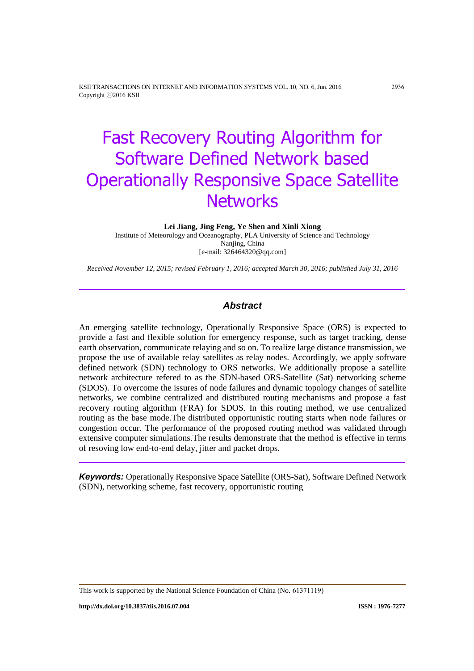KSII TRANSACTIONS ON INTERNET AND INFORMATION SYSTEMS VOL. 10, NO. 6, Jun. 2016 2936 Copyright ⓒ2016 KSII

# Fast Recovery Routing Algorithm for Software Defined Network based Operationally Responsive Space Satellite **Networks**

**Lei Jiang, Jing Feng, Ye Shen and Xinli Xiong**

Institute of Meteorology and Oceanography, PLA University of Science and Technology Nanjing, China [e-mail: 326464320@qq.com]

*Received November 12, 2015; revised February 1, 2016; accepted March 30, 2016; published July 31, 2016*

# *Abstract*

An emerging satellite technology, Operationally Responsive Space (ORS) is expected to provide a fast and flexible solution for emergency response, such as target tracking, dense earth observation, communicate relaying and so on. To realize large distance transmission, we propose the use of available relay satellites as relay nodes. Accordingly, we apply software defined network (SDN) technology to ORS networks. We additionally propose a satellite network architecture refered to as the SDN-based ORS-Satellite (Sat) networking scheme (SDOS). To overcome the issures of node failures and dynamic topology changes of satellite networks, we combine centralized and distributed routing mechanisms and propose a fast recovery routing algorithm (FRA) for SDOS. In this routing method, we use centralized routing as the base mode.The distributed opportunistic routing starts when node failures or congestion occur. The performance of the proposed routing method was validated through extensive computer simulations.The results demonstrate that the method is effective in terms of resoving low end-to-end delay, jitter and packet drops.

*Keywords:* Operationally Responsive Space Satellite (ORS-Sat), Software Defined Network (SDN), networking scheme, fast recovery, opportunistic routing

This work is supported by the National Science Foundation of China (No. 61371119)

**http://dx.doi.org/10.3837/tiis.2016.07.004 ISSN : 1976-7277**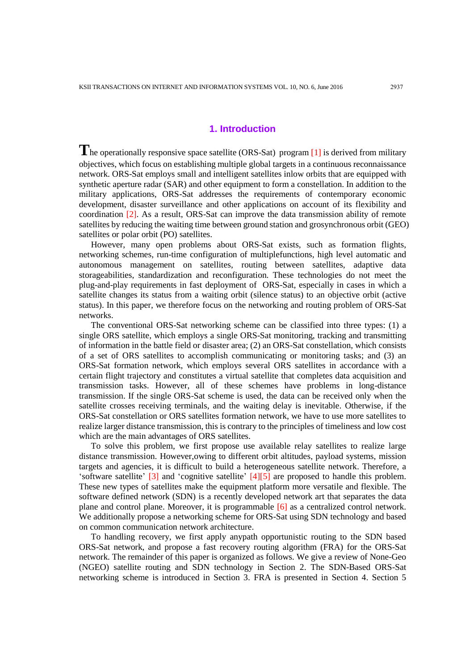## **1. Introduction**

**T**he operationally responsive space satellite (ORS-Sat) program [1] is derived from military objectives, which focus on establishing multiple global targets in a continuous reconnaissance network. ORS-Sat employs small and intelligent satellites inlow orbits that are equipped with synthetic aperture radar (SAR) and other equipment to form a constellation. In addition to the military applications, ORS-Sat addresses the requirements of contemporary economic development, disaster surveillance and other applications on account of its flexibility and coordination [2]. As a result, ORS-Sat can improve the data transmission ability of remote satellites by reducing the waiting time between ground station and grosynchronous orbit (GEO) satellites or polar orbit (PO) satellites.

However, many open problems about ORS-Sat exists, such as formation flights, networking schemes, run-time configuration of multiplefunctions, high level automatic and autonomous management on satellites, routing between satellites, adaptive data storageabilities, standardization and reconfiguration. These technologies do not meet the plug-and-play requirements in fast deployment of ORS-Sat, especially in cases in which a satellite changes its status from a waiting orbit (silence status) to an objective orbit (active status). In this paper, we therefore focus on the networking and routing problem of ORS-Sat networks.

The conventional ORS-Sat networking scheme can be classified into three types: (1) a single ORS satellite, which employs a single ORS-Sat monitoring, tracking and transmitting of information in the battle field or disaster area; (2) an ORS-Sat constellation, which consists of a set of ORS satellites to accomplish communicating or monitoring tasks; and (3) an ORS-Sat formation network, which employs several ORS satellites in accordance with a certain flight trajectory and constitutes a virtual satellite that completes data acquisition and transmission tasks. However, all of these schemes have problems in long-distance transmission. If the single ORS-Sat scheme is used, the data can be received only when the satellite crosses receiving terminals, and the waiting delay is inevitable. Otherwise, if the ORS-Sat constellation or ORS satellites formation network, we have to use more satellites to realize larger distance transmission, this is contrary to the principles of timeliness and low cost which are the main advantages of ORS satellites.

To solve this problem, we first propose use available relay satellites to realize large distance transmission. However,owing to different orbit altitudes, payload systems, mission targets and agencies, it is difficult to build a heterogeneous satellite network. Therefore, a 'software satellite' [3] and 'cognitive satellite' [4][5] are proposed to handle this problem. These new types of satellites make the equipment platform more versatile and flexible. The software defined network (SDN) is a recently developed network art that separates the data plane and control plane. Moreover, it is programmable [6] as a centralized control network. We additionally propose a networking scheme for ORS-Sat using SDN technology and based on common communication network architecture.

To handling recovery, we first apply anypath opportunistic routing to the SDN based ORS-Sat network, and propose a fast recovery routing algorithm (FRA) for the ORS-Sat network. The remainder of this paper is organized as follows. We give a review of None-Geo (NGEO) satellite routing and SDN technology in Section 2. The SDN-Based ORS-Sat networking scheme is introduced in Section 3. FRA is presented in Section 4. Section 5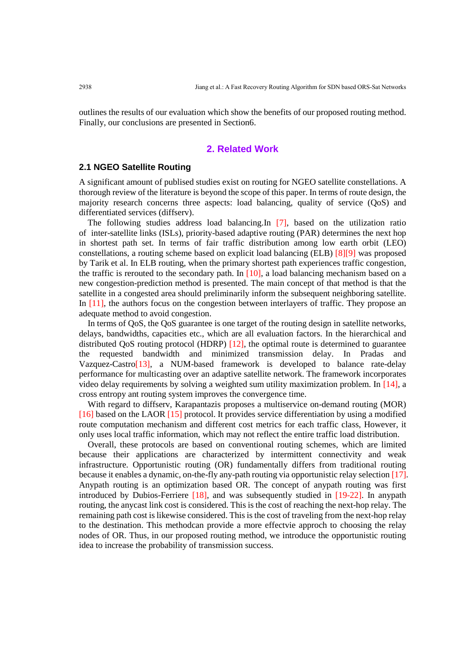outlines the results of our evaluation which show the benefits of our proposed routing method. Finally, our conclusions are presented in Section6.

# **2. Related Work**

## **2.1 NGEO Satellite Routing**

A significant amount of publised studies exist on routing for NGEO satellite constellations. A thorough review of the literature is beyond the scope of this paper. In terms of route design, the majority research concerns three aspects: load balancing, quality of service (QoS) and differentiated services (diffserv).

The following studies address load balancing.In [7], based on the utilization ratio of inter-satellite links (ISLs), priority-based adaptive routing (PAR) determines the next hop in shortest path set. In terms of fair traffic distribution among low earth orbit (LEO) constellations, a routing scheme based on explicit load balancing (ELB) [8][9] was proposed by Tarik et al. In ELB routing, when the primary shortest path experiences traffic congestion, the traffic is rerouted to the secondary path. In  $[10]$ , a load balancing mechanism based on a new congestion-prediction method is presented. The main concept of that method is that the satellite in a congested area should preliminarily inform the subsequent neighboring satellite. In [11], the authors focus on the congestion between interlayers of traffic. They propose an adequate method to avoid congestion.

In terms of QoS, the QoS guarantee is one target of the routing design in satellite networks, delays, bandwidths, capacities etc., which are all evaluation factors. In the hierarchical and distributed QoS routing protocol (HDRP) [12], the optimal route is determined to guarantee the requested bandwidth and minimized transmission delay. In Pradas and Vazquez-Castro[13], a NUM-based framework is developed to balance rate-delay performance for multicasting over an adaptive satellite network. The framework incorporates video delay requirements by solving a weighted sum utility maximization problem. In [14], a cross entropy ant routing system improves the convergence time.

With regard to diffserv, Karapantazis proposes a multiservice on-demand routing (MOR) [16] based on the LAOR [15] protocol. It provides service differentiation by using a modified route computation mechanism and different cost metrics for each traffic class, However, it only uses local traffic information, which may not reflect the entire traffic load distribution.

Overall, these protocols are based on conventional routing schemes, which are limited because their applications are characterized by intermittent connectivity and weak infrastructure. Opportunistic routing (OR) fundamentally differs from traditional routing because it enables a dynamic, on-the-fly any-path routing via opportunistic relay selection [17]. Anypath routing is an optimization based OR. The concept of anypath routing was first introduced by Dubios-Ferriere [18], and was subsequently studied in [19-22]. In anypath routing, the anycast link cost is considered. This is the cost of reaching the next-hop relay. The remaining path cost is likewise considered. This is the cost of traveling from the next-hop relay to the destination. This methodcan provide a more effectvie approch to choosing the relay nodes of OR. Thus, in our proposed routing method, we introduce the opportunistic routing idea to increase the probability of transmission success.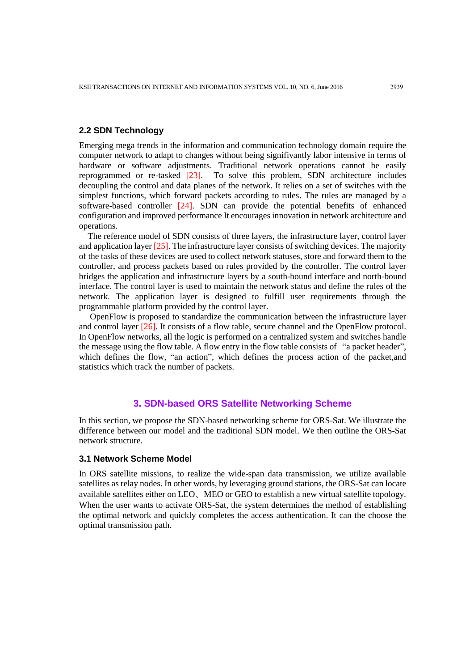# **2.2 SDN Technology**

Emerging mega trends in the information and communication technology domain require the computer network to adapt to changes without being signifivantly labor intensive in terms of hardware or software adjustments. Traditional network operations cannot be easily reprogrammed or re-tasked [23]. To solve this problem, SDN architecture includes decoupling the control and data planes of the network. It relies on a set of switches with the simplest functions, which forward packets according to rules. The rules are managed by a software-based controller [24]. SDN can provide the potential benefits of enhanced configuration and improved performance It encourages innovation in network architecture and operations.

The reference model of SDN consists of three layers, the infrastructure layer, control layer and application layer [25]. The infrastructure layer consists of switching devices. The majority of the tasks of these devices are used to collect network statuses, store and forward them to the controller, and process packets based on rules provided by the controller. The control layer bridges the application and infrastructure layers by a south-bound interface and north-bound interface. The control layer is used to maintain the network status and define the rules of the network. The application layer is designed to fulfill user requirements through the programmable platform provided by the control layer.

OpenFlow is proposed to standardize the communication between the infrastructure layer and control layer [26]. It consists of a flow table, secure channel and the OpenFlow protocol. In OpenFlow networks, all the logic is performed on a centralized system and switches handle the message using the flow table. A flow entry in the flow table consists of "a packet header", which defines the flow, "an action", which defines the process action of the packet, and statistics which track the number of packets.

## **3. SDN-based ORS Satellite Networking Scheme**

In this section, we propose the SDN-based networking scheme for ORS-Sat. We illustrate the difference between our model and the traditional SDN model. We then outline the ORS-Sat network structure.

## **3.1 Network Scheme Model**

In ORS satellite missions, to realize the wide-span data transmission, we utilize available satellites as relay nodes. In other words, by leveraging ground stations, the ORS-Sat can locate available satellites either on LEO、MEO or GEO to establish a new virtual satellite topology. When the user wants to activate ORS-Sat, the system determines the method of establishing the optimal network and quickly completes the access authentication. It can the choose the optimal transmission path.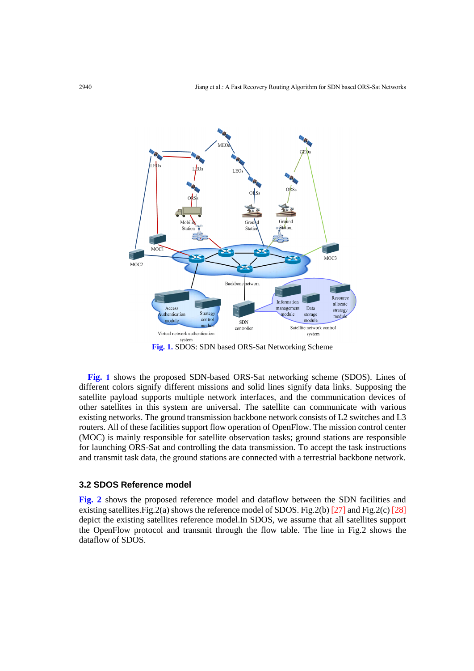

**Fig. 1.** SDOS: SDN based ORS-Sat Networking Scheme

**Fig. 1** shows the proposed SDN-based ORS-Sat networking scheme (SDOS). Lines of different colors signify different missions and solid lines signify data links. Supposing the satellite payload supports multiple network interfaces, and the communication devices of other satellites in this system are universal. The satellite can communicate with various existing networks. The ground transmission backbone network consists of L2 switches and L3 routers. All of these facilities support flow operation of OpenFlow. The mission control center (MOC) is mainly responsible for satellite observation tasks; ground stations are responsible for launching ORS-Sat and controlling the data transmission. To accept the task instructions and transmit task data, the ground stations are connected with a terrestrial backbone network.

#### **3.2 SDOS Reference model**

**Fig. 2** shows the proposed reference model and dataflow between the SDN facilities and existing satellites. Fig. 2(a) shows the reference model of SDOS. Fig. 2(b)  $[27]$  and Fig. 2(c)  $[28]$ depict the existing satellites reference model.In SDOS, we assume that all satellites support the OpenFlow protocol and transmit through the flow table. The line in Fig.2 shows the dataflow of SDOS.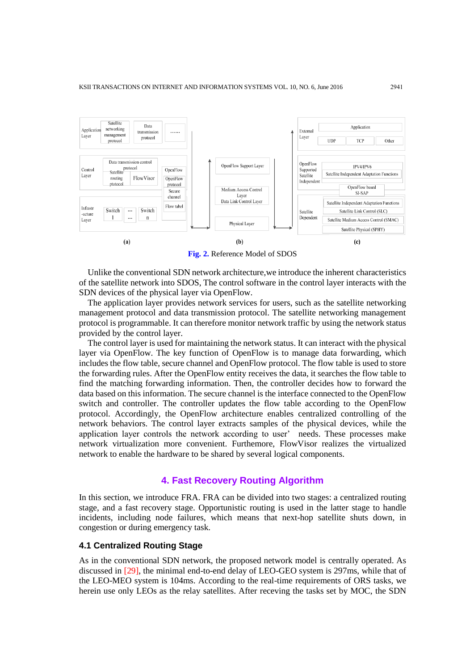

**Fig. 2.** Reference Model of SDOS

Unlike the conventional SDN network architecture,we introduce the inherent characteristics of the satellite network into SDOS, The control software in the control layer interacts with the SDN devices of the physical layer via OpenFlow.

The application layer provides network services for users, such as the satellite networking management protocol and data transmission protocol. The satellite networking management protocol is programmable. It can therefore monitor network traffic by using the network status provided by the control layer.

The control layer is used for maintaining the network status. It can interact with the physical layer via OpenFlow. The key function of OpenFlow is to manage data forwarding, which includes the flow table, secure channel and OpenFlow protocol. The flow table is used to store the forwarding rules. After the OpenFlow entity receives the data, it searches the flow table to find the matching forwarding information. Then, the controller decides how to forward the data based on this information. The secure channel is the interface connected to the OpenFlow switch and controller. The controller updates the flow table according to the OpenFlow protocol. Accordingly, the OpenFlow architecture enables centralized controlling of the network behaviors. The control layer extracts samples of the physical devices, while the application layer controls the network according to user' needs. These processes make network virtualization more convenient. Furthemore, FlowVisor realizes the virtualized network to enable the hardware to be shared by several logical components.

#### **4. Fast Recovery Routing Algorithm**

In this section, we introduce FRA. FRA can be divided into two stages: a centralized routing stage, and a fast recovery stage. Opportunistic routing is used in the latter stage to handle incidents, including node failures, which means that next-hop satellite shuts down, in congestion or during emergency task.

## **4.1 Centralized Routing Stage**

As in the conventional SDN network, the proposed network model is centrally operated. As discussed in [29], the minimal end-to-end delay of LEO-GEO system is 297ms, while that of the LEO-MEO system is 104ms. According to the real-time requirements of ORS tasks, we herein use only LEOs as the relay satellites. After receving the tasks set by MOC, the SDN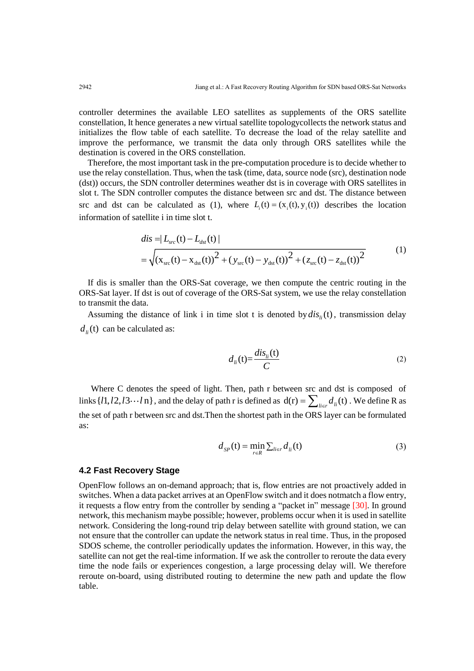controller determines the available LEO satellites as supplements of the ORS satellite constellation, It hence generates a new virtual satellite topologycollects the network status and initializes the flow table of each satellite. To decrease the load of the relay satellite and improve the performance, we transmit the data only through ORS satellites while the destination is covered in the ORS constellation.

Therefore, the most important task in the pre-computation procedure is to decide whether to use the relay constellation. Thus, when the task (time, data, source node (src), destination node (dst)) occurs, the SDN controller determines weather dst is in coverage with ORS satellites in slot t. The SDN controller computes the distance between src and dst. The distance between src and dst can be calculated as (1), where  $L_i(t) = (x_i(t), y_i(t))$  describes the location information of satellite i in time slot t.<br>  $dis = |L_{src}(\mathbf{t}) - L_{ds}(\mathbf{t})|$ 

$$
dis = |L_{src}(t) - L_{dst}(t)|
$$
  
=  $\sqrt{(x_{src}(t) - x_{dst}(t))^{2} + (y_{src}(t) - y_{dst}(t))^{2} + (z_{src}(t) - z_{dst}(t))^{2}}$  (1)

If dis is smaller than the ORS-Sat coverage, we then compute the centric routing in the ORS-Sat layer. If dst is out of coverage of the ORS-Sat system, we use the relay constellation to transmit the data.

Assuming the distance of link i in time slot t is denoted by  $dis<sub>li</sub>(t)$ , transmission delay  $d_{li}$ (t) can be calculated as:

$$
d_{li}(\mathbf{t}) = \frac{dis_{li}(\mathbf{t})}{C}
$$
 (2)

Where C denotes the speed of light. Then, path r between src and dst is composed of links  $\{l1, l2, l3 \cdots l$  n $\}$ , and the delay of path r is defined as  $d(r) = \sum_{li \in r} d_{li}(t)$ . We define R as the set of path r between src and dst.Then the shortest path in the ORS layer can be formulated as:

$$
d_{SP}(t) = \min_{r \in R} \sum_{li \in r} d_{li}(t) \tag{3}
$$

## **4.2 Fast Recovery Stage**

OpenFlow follows an on-demand approach; that is, flow entries are not proactively added in switches. When a data packet arrives at an OpenFlow switch and it does notmatch a flow entry, it requests a flow entry from the controller by sending a "packet in" message [30]. In ground network, this mechanism maybe possible; however, problems occur when it is used in satellite network. Considering the long-round trip delay between satellite with ground station, we can not ensure that the controller can update the network status in real time. Thus, in the proposed SDOS scheme, the controller periodically updates the information. However, in this way, the satellite can not get the real-time information. If we ask the controller to reroute the data every time the node fails or experiences congestion, a large processing delay will. We therefore reroute on-board, using distributed routing to determine the new path and update the flow table.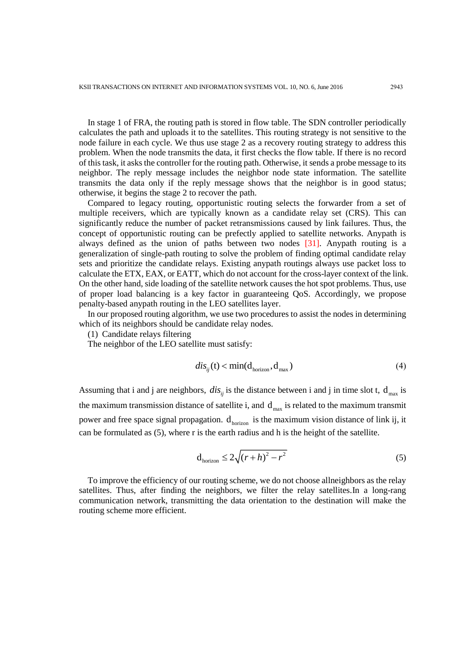In stage 1 of FRA, the routing path is stored in flow table. The SDN controller periodically calculates the path and uploads it to the satellites. This routing strategy is not sensitive to the node failure in each cycle. We thus use stage 2 as a recovery routing strategy to address this problem. When the node transmits the data, it first checks the flow table. If there is no record of this task, it asks the controller for the routing path. Otherwise, it sends a probe message to its neighbor. The reply message includes the neighbor node state information. The satellite transmits the data only if the reply message shows that the neighbor is in good status; otherwise, it begins the stage 2 to recover the path.

Compared to legacy routing, opportunistic routing selects the forwarder from a set of multiple receivers, which are typically known as a candidate relay set (CRS). This can significantly reduce the number of packet retransmissions caused by link failures. Thus, the concept of opportunistic routing can be prefectly applied to satellite networks. Anypath is always defined as the union of paths between two nodes [31]. Anypath routing is a generalization of single-path routing to solve the problem of finding optimal candidate relay sets and prioritize the candidate relays. Existing anypath routings always use packet loss to calculate the ETX, EAX, or EATT, which do not account for the cross-layer context of the link. On the other hand, side loading of the satellite network causes the hot spot problems. Thus, use of proper load balancing is a key factor in guaranteeing QoS. Accordingly, we propose penalty-based anypath routing in the LEO satellites layer.

In our proposed routing algorithm, we use two procedures to assist the nodes in determining which of its neighbors should be candidate relay nodes.

(1) Candidate relays filtering

The neighbor of the LEO satellite must satisfy:

$$
dis_{ij}(t) < \min(d_{\text{horizon}}, d_{\text{max}}) \tag{4}
$$

Assuming that i and j are neighbors,  $dis_{ij}$  is the distance between i and j in time slot t,  $d_{max}$  is the maximum transmission distance of satellite i, and  $d_{max}$  is related to the maximum transmit power and free space signal propagation.  $d_{horizon}$  is the maximum vision distance of link ij, it can be formulated as (5), where r is the earth radius and h is the height of the satellite.

$$
d_{\text{horizon}} \le 2\sqrt{(r+h)^2 - r^2} \tag{5}
$$

To improve the efficiency of our routing scheme, we do not choose allneighbors as the relay satellites. Thus, after finding the neighbors, we filter the relay satellites.In a long-rang communication network, transmitting the data orientation to the destination will make the routing scheme more efficient.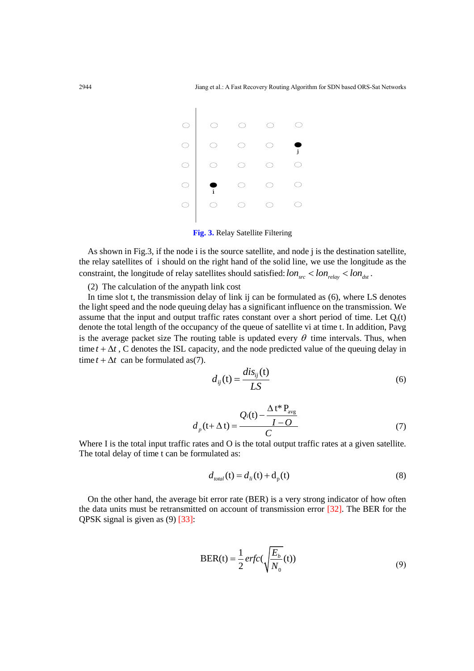

**Fig. 3.** Relay Satellite Filtering

As shown in Fig.3, if the node i is the source satellite, and node j is the destination satellite, the relay satellites of i should on the right hand of the solid line, we use the longitude as the constraint, the longitude of relay satellites should satisfied:  $lon_{src}$  <  $lon_{relay}$  <  $lon_{dst}$ .

(2) The calculation of the anypath link cost

In time slot t, the transmission delay of link ij can be formulated as (6), where LS denotes the light speed and the node queuing delay has a significant influence on the transmission. We assume that the input and output traffic rates constant over a short period of time. Let  $Q_i(t)$ denote the total length of the occupancy of the queue of satellite vi at time t. In addition, Pavg is the average packet size The routing table is updated every  $\theta$  time intervals. Thus, when time  $t + \Delta t$ , C denotes the ISL capacity, and the node predicted value of the queuing delay in time  $t + \Delta t$  can be formulated as(7).

$$
d_{ij}(t) = \frac{dis_{ij}(t)}{LS}
$$
 (6)

$$
d_p(t+\Delta t) = \frac{Q_i(t) - \frac{\Delta t^* P_{avg}}{I - O}}{C}
$$
(7)

Where I is the total input traffic rates and O is the total output traffic rates at a given satellite. The total delay of time t can be formulated as:

$$
d_{total}(\mathbf{t}) = d_{li}(\mathbf{t}) + \mathbf{d}_{p}(\mathbf{t})
$$
\n(8)

On the other hand, the average bit error rate (BER) is a very strong indicator of how often the data units must be retransmitted on account of transmission error [32]. The BER for the QPSK signal is given as (9) [33]:

$$
BER(t) = \frac{1}{2} erfc(\sqrt{\frac{E_b}{N_0}}(t))
$$
\n(9)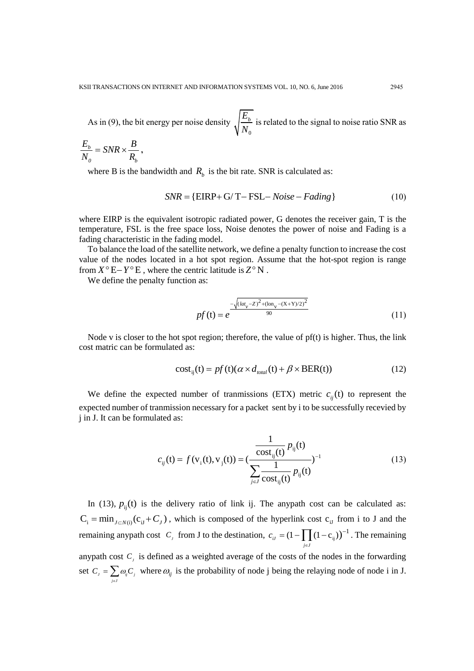As in (9), the bit energy per noise density  $\mathbf{0}$  $E_{\scriptscriptstyle b}$ *N* is related to the signal to noise ratio SNR as

$$
\frac{E_b}{N_o} = SNR \times \frac{B}{R_b},
$$

where B is the bandwidth and  $R_b$  is the bit rate. SNR is calculated as:

$$
SNR = \{EIRP + G/T - FSL - Noise - Fading\}
$$
 (10)

where EIRP is the equivalent isotropic radiated power, G denotes the receiver gain, T is the temperature, FSL is the free space loss, Noise denotes the power of noise and Fading is a fading characteristic in the fading model.

To balance the load of the satellite network, we define a penalty function to increase the cost value of the nodes located in a hot spot region. Assume that the hot-spot region is range from  $X^{\circ}E - Y^{\circ}E$ , where the centric latitude is  $Z^{\circ}N$ .

We define the penalty function as:

$$
pf(t) = e^{-\frac{\sqrt{(\text{lat}_v - Z)^2 + (\text{lon}_v - (X + Y)/2)^2}}{90}}
$$
\n(11)

Node v is closer to the hot spot region; therefore, the value of  $pf(t)$  is higher. Thus, the link cost matric can be formulated as:

$$
cost_{ij}(t) = pf(t)(\alpha \times d_{total}(t) + \beta \times BER(t))
$$
\n(12)

We define the expected number of tranmissions (ETX) metric  $c_{ij}(t)$  to represent the expected number of tranmission necessary for a packet sent by i to be successfully recevied by j in J. It can be formulated as:

$$
c_{ij}(t) = f(v_i(t), v_j(t)) = \left(\frac{\frac{1}{\text{cost}_{ij}(t)} p_{ij}(t)}{\sum_{j \in J} \frac{1}{\text{cost}_{ij}(t)} p_{ij}(t)}\right)^{-1}
$$
(13)

In (13),  $p_{ij}(t)$  is the delivery ratio of link ij. The anypath cost can be calculated as:  $C_i = min_{J \subset N(i)} (c_{iJ} + C_J)$ , which is composed of the hyperlink cost  $c_{iJ}$  from i to J and the remaining any path cost  $C_j$  from J to the destination,  $c_{ij} = (1 - \prod (1 - c_{ij}))$  $\mathbf{r}_{ij} = (1 - \prod_{i} (1 - \mathbf{c}_{ij}))^{-1}$ *j J c* i∈  $= (1 - \prod (1 - c_{ij}))^{-1}$ . The remaining anypath cost  $C_j$  is defined as a weighted average of the costs of the nodes in the forwarding set  $C_j = \sum_{j \in J} \omega_j C_j$  $C_i = \sum_{i} \omega_i C_i$  $=\sum_{j\in J}\omega_{ij}C_j$  where  $\omega_{ij}$  is the probability of node j being the relaying node of node i in J.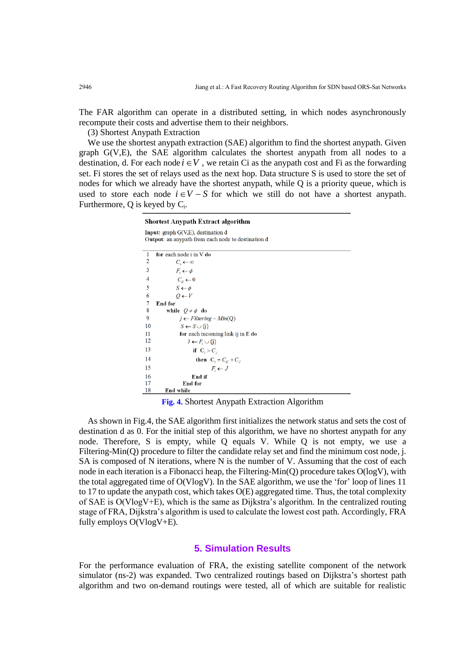The FAR algorithm can operate in a distributed setting, in which nodes asynchronously recompute their costs and advertise them to their neighbors.

(3) Shortest Anypath Extraction

We use the shortest anypath extraction (SAE) algorithm to find the shortest anypath. Given graph G(V,E), the SAE algorithm calculates the shortest anypath from all nodes to a destination, d. For each node  $i \in V$ , we retain Ci as the anypath cost and Fi as the forwarding set. Fi stores the set of relays used as the next hop. Data structure S is used to store the set of nodes for which we already have the shortest anypath, while Q is a priority queue, which is used to store each node  $i \in V - S$  for which we still do not have a shortest anypath. Furthermore,  $Q$  is keyed by  $C_i$ .

> **Shortest Anypath Extract algorithm** Input: graph G(V,E), destination d Output: an any path from each node to destination d for each node i in V do  $\overline{1}$  $\overline{2}$  $C_i \leftarrow \infty$  $\overline{\mathbf{3}}$  $F_i \leftarrow \phi$  $\overline{4}$  $C_d \leftarrow 0$  $\overline{5}$  $S \leftarrow \phi$  $\overline{6}$  $Q \leftarrow V$  $\overline{7}$ End for 8 while  $Q \neq \phi$  do  $\overline{9}$  $j \leftarrow$  Filtering - Min(Q)  $10\,$  $S \leftarrow S \cup \{i\}$  $11$ for each incoming link ij in E do 12  $J \leftarrow F_i \cup \{j\}$ 13 if  $C_i > C_i$ 14 then  $C_i = C_U + C_J$ 15  $F_i \leftarrow J$ 16 End if 17 End for 18 End while **Fig. 4.** Shortest Anypath Extraction Algorithm

As shown in Fig.4, the SAE algorithm first initializes the network status and sets the cost of destination d as 0. For the initial step of this algorithm, we have no shortest anypath for any node. Therefore, S is empty, while Q equals V. While Q is not empty, we use a Filtering-Min(O) procedure to filter the candidate relay set and find the minimum cost node, j. SA is composed of N iterations, where N is the number of V. Assuming that the cost of each node in each iteration is a Fibonacci heap, the Filtering-Min(Q) procedure takes O(logV), with the total aggregated time of O(VlogV). In the SAE algorithm, we use the 'for' loop of lines 11 to 17 to update the any path cost, which takes  $O(E)$  aggregated time. Thus, the total complexity of SAE is O(VlogV+E), which is the same as Dijkstra's algorithm. In the centralized routing stage of FRA, Dijkstra's algorithm is used to calculate the lowest cost path. Accordingly, FRA fully employs O(VlogV+E).

#### **5. Simulation Results**

For the performance evaluation of FRA, the existing satellite component of the network simulator (ns-2) was expanded. Two centralized routings based on Dijkstra's shortest path algorithm and two on-demand routings were tested, all of which are suitable for realistic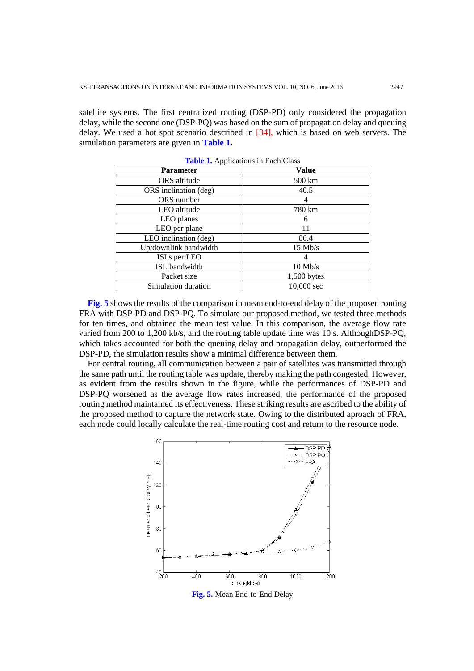satellite systems. The first centralized routing (DSP-PD) only considered the propagation delay, while the second one (DSP-PQ) was based on the sum of propagation delay and queuing delay. We used a hot spot scenario described in [34], which is based on web servers. The simulation parameters are given in **Table 1.**

| <b>Parameter</b>      | Value                |
|-----------------------|----------------------|
| ORS altitude          | 500 km               |
| ORS inclination (deg) | 40.5                 |
| ORS number            | 4                    |
| LEO altitude          | 780 km               |
| LEO planes            | 6                    |
| LEO per plane         | 11                   |
| LEO inclination (deg) | 86.4                 |
| Up/downlink bandwidth | $15$ Mb/s            |
| ISLs per LEO          | 4                    |
| <b>ISL</b> bandwidth  | $10$ Mb/s            |
| Packet size           | 1,500 bytes          |
| Simulation duration   | $10,000 \text{ sec}$ |

**Table 1.** Applications in Each Class

**Fig. 5** shows the results of the comparison in mean end-to-end delay of the proposed routing FRA with DSP-PD and DSP-PQ. To simulate our proposed method, we tested three methods for ten times, and obtained the mean test value. In this comparison, the average flow rate varied from 200 to 1,200 kb/s, and the routing table update time was 10 s. AlthoughDSP-PQ, which takes accounted for both the queuing delay and propagation delay, outperformed the DSP-PD, the simulation results show a minimal difference between them.

For central routing, all communication between a pair of satellites was transmitted through the same path until the routing table was update, thereby making the path congested. However, as evident from the results shown in the figure, while the performances of DSP-PD and DSP-PQ worsened as the average flow rates increased, the performance of the proposed routing method maintained its effectiveness. These striking results are ascribed to the ability of the proposed method to capture the network state. Owing to the distributed aproach of FRA, each node could locally calculate the real-time routing cost and return to the resource node.

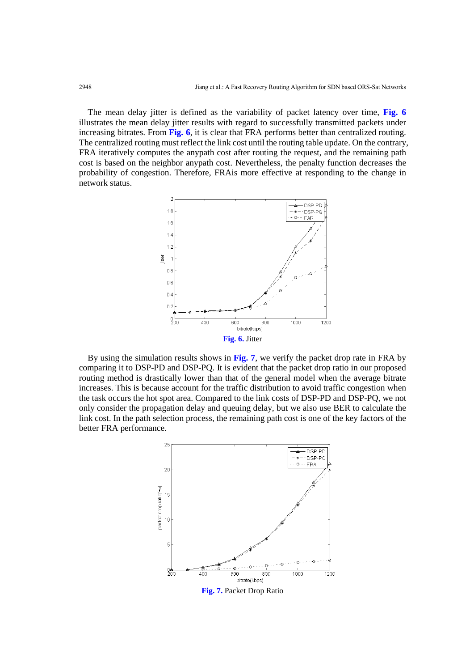The mean delay jitter is defined as the variability of packet latency over time, **Fig. 6** illustrates the mean delay jitter results with regard to successfully transmitted packets under increasing bitrates. From **Fig. 6**, it is clear that FRA performs better than centralized routing. The centralized routing must reflect the link cost until the routing table update. On the contrary, FRA iteratively computes the anypath cost after routing the request, and the remaining path cost is based on the neighbor anypath cost. Nevertheless, the penalty function decreases the probability of congestion. Therefore, FRAis more effective at responding to the change in network status.



By using the simulation results shows in **Fig. 7**, we verify the packet drop rate in FRA by comparing it to DSP-PD and DSP-PQ. It is evident that the packet drop ratio in our proposed routing method is drastically lower than that of the general model when the average bitrate increases. This is because account for the traffic distribution to avoid traffic congestion when the task occurs the hot spot area. Compared to the link costs of DSP-PD and DSP-PQ, we not only consider the propagation delay and queuing delay, but we also use BER to calculate the link cost. In the path selection process, the remaining path cost is one of the key factors of the better FRA performance.

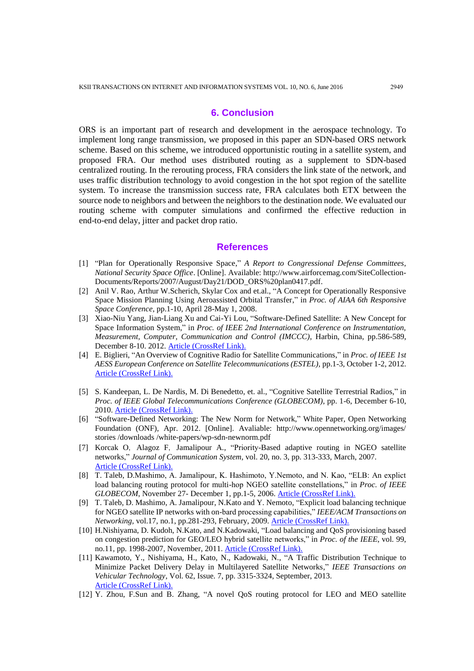# **6. Conclusion**

ORS is an important part of research and development in the aerospace technology. To implement long range transmission, we proposed in this paper an SDN-based ORS network scheme. Based on this scheme, we introduced opportunistic routing in a satellite system, and proposed FRA. Our method uses distributed routing as a supplement to SDN-based centralized routing. In the rerouting process, FRA considers the link state of the network, and uses traffic distribution technology to avoid congestion in the hot spot region of the satellite system. To increase the transmission success rate, FRA calculates both ETX between the source node to neighbors and between the neighbors to the destination node. We evaluated our routing scheme with computer simulations and confirmed the effective reduction in end-to-end delay, jitter and packet drop ratio.

#### **References**

- [1] "Plan for Operationally Responsive Space," *A Report to Congressional Defense Committees*, *National Security Space Office*. [Online]. Available: http://www.airforcemag.com/SiteCollection-Documents/Reports/2007/August/Day21/DOD\_ORS%20plan0417.pdf.
- [2] Anil V. Rao, Arthur W.Scherich, Skylar Cox and et.al., "A Concept for Operationally Responsive Space Mission Planning Using Aeroassisted Orbital Transfer," in *Proc. of AIAA 6th Responsive Space Conference*, pp.1-10, April 28-May 1, 2008.
- [3] Xiao-Niu Yang, Jian-Liang Xu and Cai-Yi Lou, "Software-Defined Satellite: A New Concept for Space Information System," in *Proc. of IEEE 2nd International Conference on Instrumentation, Measurement, Computer, Communication and Control (IMCCC)*, Harbin, China, pp.586-589, December 8-10. 2012. [Article \(CrossRef Link\).](http://dx.doi.org/10.1109/imccc.2012.144)
- [4] E. Biglieri, "An Overview of Cognitive Radio for Satellite Communications," in *Proc. of IEEE 1st AESS European Conference on Satellite Telecommunications (ESTEL),* pp.1-3, October 1-2, 2012. [Article \(CrossRef Link\).](http://dx.doi.org/10.1109/estel.2012.6400078)
- [5] S. Kandeepan, L. De Nardis, M. Di Benedetto, et. al., "Cognitive Satellite Terrestrial Radios," in *Proc. of IEEE Global Telecommunications Conference (GLOBECOM)*, pp. 1-6, December 6-10, 2010. [Article \(CrossRef Link\).](http://dx.doi.org/10.1109/glocom.2010.5683428)
- [6] "Software-Defined Networking: The New Norm for Network," White Paper, Open Networking Foundation (ONF), Apr. 2012. [Online]. Avaliable: <http://www.opennetworking.org/images/> stories /downloads /white-papers/wp-sdn-newnorm.pdf
- [7] Korcak O, Alagoz F, Jamalipour A., "Priority-Based adaptive routing in NGEO satellite networks," *Journal of Communication System*, vol. 20, no. 3, pp. 313-333, March, 2007. Article [\(CrossRef Link\).](http://dx.doi.org/10.1002/dac.823)
- [8] T. Taleb, D.Mashimo, A. Jamalipour, K. Hashimoto, Y.Nemoto, and N. Kao, "ELB: An explict load balancing routing protocol for multi-hop NGEO satellite constellations," in *Proc. of IEEE GLOBECOM*, November 27- December 1, pp.1-5, 2006. [Article \(CrossRef Link\).](http://dx.doi.org/10.1109/glocom.2006.523)
- [9] T. Taleb, D. Mashimo, A. Jamalipour, N.Kato and Y. Nemoto, "Explicit load balancing technique for NGEO satellite IP networks with on-bard processing capabilities," *IEEE/ACM Transactions on Networking*, vol.17, no.1, pp.281-293, February, 2009. [Article \(CrossRef Link\).](http://dx.doi.org/10.1109/tnet.2008.918084)
- [10] H.Nishiyama, D. Kudoh, N.Kato, and N.Kadowaki, "Load balancing and QoS provisioning based on congestion prediction for GEO/LEO hybrid satellite networks," in *Proc. of the IEEE*, vol. 99, no.11, pp. 1998-2007, November, 2011. [Article \(CrossRef Link\).](http://dx.doi.org/10.1109/jproc.2011.2157885)
- [11] Kawamoto, Y., Nishiyama, H., Kato, N., Kadowaki, N., "A Traffic Distribution Technique to Minimize Packet Delivery Delay in Multilayered Satellite Networks," *IEEE Transactions on Vehicular Technology*, Vol. 62, Issue. 7, pp. 3315-3324, September, 2013. [Article \(CrossRef Link\).](http://dx.doi.org/10.1109/tvt.2013.2256812)
- [12] Y. Zhou, F.Sun and B. Zhang, "A novel QoS routing protocol for LEO and MEO satellite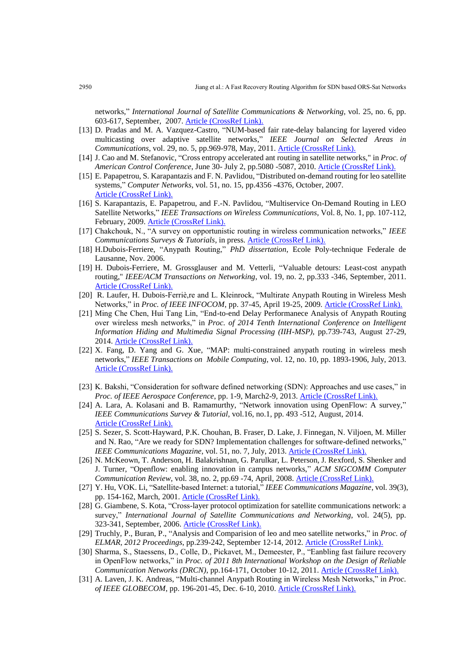networks," *International Journal of Satellite Communications & Networking*, vol. 25, no. 6, pp. 603-617, September, 2007. [Article \(CrossRef Link\).](http://dx.doi.org/10.1002/sat.892)

- [13] D. Pradas and M. A. Vazquez-Castro, "NUM-based fair rate-delay balancing for layered video multicasting over adaptive satellite networks," *IEEE Journal on Selected Areas in Communications*, vol. 29, no. 5, pp.969-978, May, 2011. [Article \(CrossRef Link\).](http://dx.doi.org/10.1109/jsac.2011.110507)
- [14] J. Cao and M. Stefanovic, "Cross entropy accelerated ant routing in satellite networks," in *Proc. of American Control Conference*, June 30- July 2, pp.5080 -5087, 2010. [Article \(CrossRef Link\).](http://dx.doi.org/10.1109/acc.2010.5530698)
- [15] E. Papapetrou, S. Karapantazis and F. N. Pavlidou, "Distributed on-demand routing for leo satellite systems," *Computer Networks*, vol. 51, no. 15, pp.4356 -4376, October, 2007. [Article \(CrossRef Link\).](http://dx.doi.org/10.1016/j.comnet.2007.05.008)
- [16] S. Karapantazis, E. Papapetrou, and F.-N. Pavlidou, "Multiservice On-Demand Routing in LEO Satellite Networks," *IEEE Transactions on Wireless Communications*, Vol. 8, No. 1, pp. 107-112, February, 2009. [Article \(CrossRef Link\).](http://dx.doi.org/10.1109/twc.2009.080334)
- [17] Chakchouk, N., "A survey on opportunistic routing in wireless communication networks," *IEEE Communications Surveys & Tutorials*, in press. [Article \(CrossRef Link\).](http://dx.doi.org/10.1109/comst.2015.2411335)
- [18] H.Dubois-Ferriere, "Anypath Routing," *PhD dissertation*, Ecole Poly-technique Federale de Lausanne, Nov. 2006.
- [19] H. Dubois-Ferriere, M. Grossglauser and M. Vetterli, "Valuable detours: Least-cost anypath routing," *IEEE/ACM Transactions on Networking*, vol. 19, no. 2, pp.333 -346, September, 2011. [Article \(CrossRef Link\).](http://dx.doi.org/10.1109/tnet.2010.2070844)
- [20] R. Laufer, H. Dubois-Ferriè,re and L. Kleinrock, "Multirate Anypath Routing in Wireless Mesh Networks," in *Proc. of IEEE INFOCOM*, pp. 37-45, April 19-25, 2009. [Article \(CrossRef Link\).](http://dx.doi.org/10.1109/infcom.2009.5061904)
- [21] Ming Che Chen, Hui Tang Lin, "End-to-end Delay Performanece Analysis of Anypath Routing over wireless mesh networks," in *Proc. of 2014 Tenth International Conference on Intelligent Information Hiding and Multimedia Signal Processing (IIH-MSP)*, pp.739-743, August 27-29, 2014. [Article \(CrossRef Link\).](http://dx.doi.org/10.1109/iih-msp.2014.189)
- [22] X. Fang, D. Yang and G. Xue, "MAP: multi-constrained anypath routing in wireless mesh networks," *IEEE Transactions on Mobile Computing*, vol. 12, no. 10, pp. 1893-1906, July, 2013. [Article \(CrossRef Link\).](http://dx.doi.org/10.1109/tmc.2012.158)
- [23] K. Bakshi, "Consideration for software defined networking (SDN): Approaches and use cases," in *Proc. of IEEE Aerospace Conference*, pp. 1-9, March2-9, 2013. Article [\(CrossRef Link\).](http://dx.doi.org/10.1109/aero.2013.6496914)
- [24] A. Lara, A. Kolasani and B. Ramamurthy, "Network innovation using OpenFlow: A survey," *IEEE Communications Survey & Tutorial*, vol.16, no.1, pp. 493 -512, August, 2014. [Article \(CrossRef Link\).](http://dx.doi.org/10.1109/surv.2013.081313.00105)
- [25] S. Sezer, S. Scott-Hayward, P.K. Chouhan, B. Fraser, D. Lake, J. Finnegan, N. Viljoen, M. Miller and N. Rao, "Are we ready for SDN? Implementation challenges for software-defined networks," *IEEE Communications Magazine*, vol. 51, no. 7, July, 2013. [Article \(CrossRef Link\).](http://dx.doi.org/10.1109/mcom.2013.6553676)
- [26] N. McKeown, T. Anderson, H. Balakrishnan, G. Parulkar, L. Peterson, J. Rexford, S. Shenker and J. Turner, "Openflow: enabling innovation in campus networks," *ACM SIGCOMM Computer Communication Review*, vol. 38, no. 2, pp.69 -74, April, 2008. [Article \(CrossRef Link\).](http://dx.doi.org/10.1145/1355734.1355746)
- [27] Y. Hu, VOK. Li, "Satellite-based Internet: a tutorial," *IEEE Communications Magazine*, vol. 39(3), pp. 154-162, March, 2001. [Article \(CrossRef Link\).](http://dx.doi.org/10.1109/35.910603)
- [28] G. Giambene, S. Kota, "Cross-layer protocol optimization for satellite communications network: a survey," *International Journal of Satellite Communications and Networking*, vol. 24(5), pp. 323-341, September, 2006. [Article \(CrossRef Link\).](http://dx.doi.org/10.1002/sat.853)
- [29] Truchly, P., Buran, P., "Analysis and Comparision of leo and meo satellite networks," in *Proc. of ELMAR, 2012 Proceedings*, pp.239-242, September 12-14, 2012[. Article \(CrossRef Link\).](http://dx.doi.org/10.1109/elmar.2007.4418839)
- [30] Sharma, S., Staessens, D., Colle, D., Pickavet, M., Demeester, P., "Eanbling fast failure recovery in OpenFlow networks," in *Proc. of 2011 8th International Workshop on the Design of Reliable Communication Networks (DRCN)*, pp.164-171, October 10-12, 2011. [Article \(CrossRef Link\).](http://dx.doi.org/10.1109/drcn.2011.6076899)
- [31] A. Laven, J. K. Andreas, "Multi-channel Anypath Routing in Wireless Mesh Networks," in *Proc. of IEEE GLOBECOM*, pp. 196-201-45, Dec. 6-10, 2010. [Article \(CrossRef Link\).](http://dx.doi.org/10.1109/glocomw.2010.5700288)